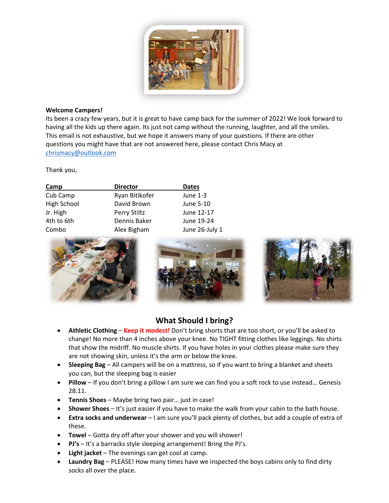

### **Welcome Campers!**

Its been a crazy few years, but it is great to have camp back for the summer of 2022! We look forward to having all the kids up there again. Its just not camp without the running, laughter, and all the smiles. This email is not exhaustive, but we hope it answers many of your questions. If there are other questions you might have that are not answered here, please contact Chris Macy at [chrismacy@outlook.com](mailto:chrismacy@outlook.com)

Thank you,

| <b>Director</b> | <b>Dates</b>   |
|-----------------|----------------|
| Ryan Bitikofer  | June 1-3       |
| David Brown     | June 5-10      |
| Perry Stiltz    | June 12-17     |
| Dennis Baker    | June 19-24     |
| Alex Bigham     | June 26-July 1 |
|                 |                |







# **What Should I bring?**

- **Athletic Clothing Keep it modest!** Don't bring shorts that are too short, or you'll be asked to change! No more than 4 inches above your knee. No TIGHT fitting clothes like leggings. No shirts that show the midriff. No muscle shirts. If you have holes in your clothes please make sure they are not showing skin, unless it's the arm or below the knee.
- **Sleeping Bag** All campers will be on a mattress, so if you want to bring a blanket and sheets you can, but the sleeping bag is easier
- **Pillow** If you don't bring a pillow I am sure we can find you a soft rock to use instead… Genesis 28:11.
- **Tennis Shoes** Maybe bring two pair… just in case!
- **Shower Shoes** It's just easier if you have to make the walk from your cabin to the bath house.
- **Extra socks and underwear** I am sure you'll pack plenty of clothes, but add a couple of extra of these.
- **Towel** Gotta dry off after your shower and you will shower!
- **PJ's** It's a barracks style sleeping arrangement! Bring the PJ's.
- **Light jacket** The evenings can get cool at camp.
- **Laundry Bag** PLEASE! How many times have we inspected the boys cabins only to find dirty socks all over the place.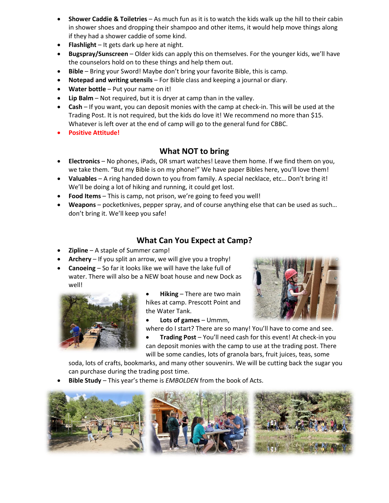- **Shower Caddie & Toiletries** As much fun as it is to watch the kids walk up the hill to their cabin in shower shoes and dropping their shampoo and other items, it would help move things along if they had a shower caddie of some kind.
- **Flashlight** It gets dark up here at night.
- **Bugspray/Sunscreen** Older kids can apply this on themselves. For the younger kids, we'll have the counselors hold on to these things and help them out.
- **Bible** Bring your Sword! Maybe don't bring your favorite Bible, this is camp.
- **Notepad and writing utensils** For Bible class and keeping a journal or diary.
- **Water bottle** Put your name on it!
- **Lip Balm** Not required, but it is dryer at camp than in the valley.
- **Cash** If you want, you can deposit monies with the camp at check-in. This will be used at the Trading Post. It is not required, but the kids do love it! We recommend no more than \$15. Whatever is left over at the end of camp will go to the general fund for CBBC.
- **Positive Attitude!**

## **What NOT to bring**

- **Electronics** No phones, iPads, OR smart watches! Leave them home. If we find them on you, we take them. "But my Bible is on my phone!" We have paper Bibles here, you'll love them!
- **Valuables** A ring handed down to you from family. A special necklace, etc… Don't bring it! We'll be doing a lot of hiking and running, it could get lost.
- **Food Items** This is camp, not prison, we're going to feed you well!
- **Weapons** pocketknives, pepper spray, and of course anything else that can be used as such… don't bring it. We'll keep you safe!

## **What Can You Expect at Camp?**

- **Zipline** A staple of Summer camp!
- **Archery** If you split an arrow, we will give you a trophy!
- **Canoeing** So far it looks like we will have the lake full of water. There will also be a NEW boat house and new Dock as well!



- **Hiking** There are two main hikes at camp. Prescott Point and the Water Tank.
- **Lots of games** Ummm,



- where do I start? There are so many! You'll have to come and see.
- **Trading Post** You'll need cash for this event! At check-in you can deposit monies with the camp to use at the trading post. There will be some candies, lots of granola bars, fruit juices, teas, some

soda, lots of crafts, bookmarks, and many other souvenirs. We will be cutting back the sugar you can purchase during the trading post time.

• **Bible Study** – This year's theme is *EMBOLDEN* from the book of Acts.